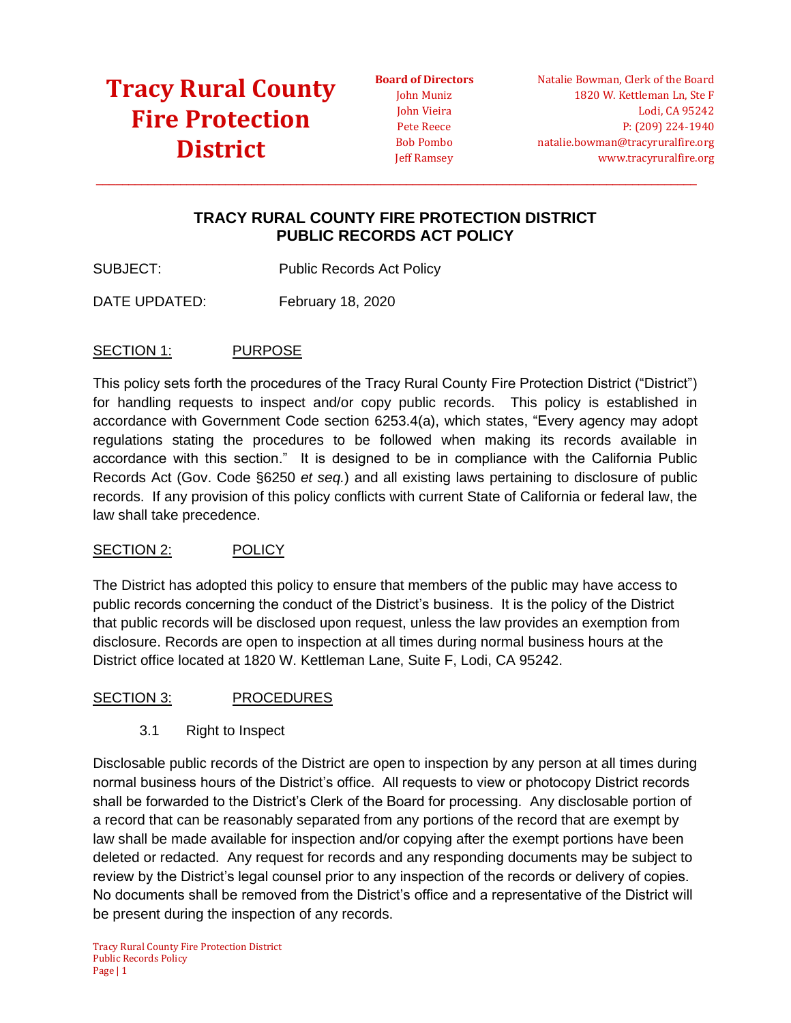**Board of Directors** John Muniz John Vieira Pete Reece Bob Pombo Jeff Ramsey

Natalie Bowman, Clerk of the Board 1820 W. Kettleman Ln, Ste F Lodi, CA 95242 P: (209) 224-1940 natalie.bowman@tracyruralfire.org www.tracyruralfire.org

### **TRACY RURAL COUNTY FIRE PROTECTION DISTRICT PUBLIC RECORDS ACT POLICY**

 $\_$  ,  $\_$  ,  $\_$  ,  $\_$  ,  $\_$  ,  $\_$  ,  $\_$  ,  $\_$  ,  $\_$  ,  $\_$  ,  $\_$  ,  $\_$  ,  $\_$  ,  $\_$  ,  $\_$  ,  $\_$  ,  $\_$  ,  $\_$  ,  $\_$  ,  $\_$  ,  $\_$  ,  $\_$  ,  $\_$  ,  $\_$  ,  $\_$  ,  $\_$  ,  $\_$  ,  $\_$  ,  $\_$  ,  $\_$  ,  $\_$  ,  $\_$  ,  $\_$  ,  $\_$  ,  $\_$  ,  $\_$  ,  $\_$  ,

SUBJECT: Public Records Act Policy

DATE UPDATED: February 18, 2020

### SECTION 1: PURPOSE

This policy sets forth the procedures of the Tracy Rural County Fire Protection District ("District") for handling requests to inspect and/or copy public records. This policy is established in accordance with Government Code section 6253.4(a), which states, "Every agency may adopt regulations stating the procedures to be followed when making its records available in accordance with this section." It is designed to be in compliance with the California Public Records Act (Gov. Code §6250 *et seq.*) and all existing laws pertaining to disclosure of public records. If any provision of this policy conflicts with current State of California or federal law, the law shall take precedence.

#### SECTION 2: POLICY

The District has adopted this policy to ensure that members of the public may have access to public records concerning the conduct of the District's business. It is the policy of the District that public records will be disclosed upon request, unless the law provides an exemption from disclosure. Records are open to inspection at all times during normal business hours at the District office located at 1820 W. Kettleman Lane, Suite F, Lodi, CA 95242.

#### SECTION 3: PROCEDURES

3.1 Right to Inspect

Disclosable public records of the District are open to inspection by any person at all times during normal business hours of the District's office. All requests to view or photocopy District records shall be forwarded to the District's Clerk of the Board for processing. Any disclosable portion of a record that can be reasonably separated from any portions of the record that are exempt by law shall be made available for inspection and/or copying after the exempt portions have been deleted or redacted. Any request for records and any responding documents may be subject to review by the District's legal counsel prior to any inspection of the records or delivery of copies. No documents shall be removed from the District's office and a representative of the District will be present during the inspection of any records.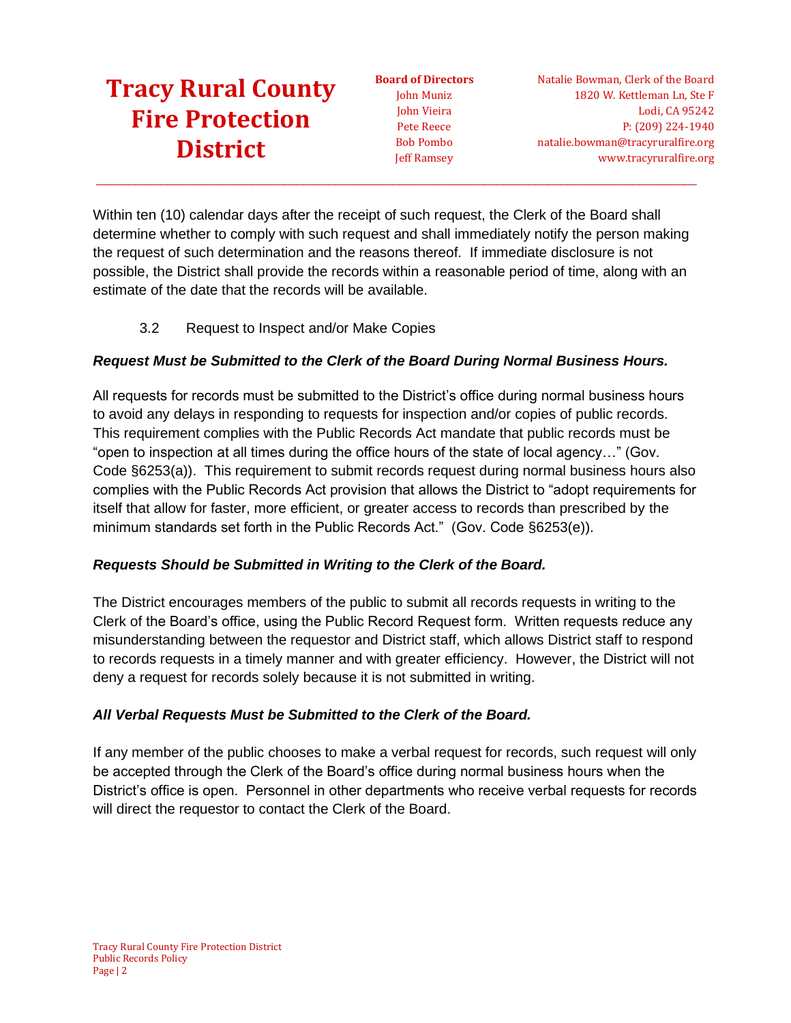**Board of Directors** John Muniz John Vieira Pete Reece Bob Pombo Jeff Ramsey

Natalie Bowman, Clerk of the Board 1820 W. Kettleman Ln, Ste F Lodi, CA 95242 P: (209) 224-1940 natalie.bowman@tracyruralfire.org www.tracyruralfire.org

Within ten (10) calendar days after the receipt of such request, the Clerk of the Board shall determine whether to comply with such request and shall immediately notify the person making the request of such determination and the reasons thereof. If immediate disclosure is not possible, the District shall provide the records within a reasonable period of time, along with an estimate of the date that the records will be available.

 $\_$  ,  $\_$  ,  $\_$  ,  $\_$  ,  $\_$  ,  $\_$  ,  $\_$  ,  $\_$  ,  $\_$  ,  $\_$  ,  $\_$  ,  $\_$  ,  $\_$  ,  $\_$  ,  $\_$  ,  $\_$  ,  $\_$  ,  $\_$  ,  $\_$  ,  $\_$  ,  $\_$  ,  $\_$  ,  $\_$  ,  $\_$  ,  $\_$  ,  $\_$  ,  $\_$  ,  $\_$  ,  $\_$  ,  $\_$  ,  $\_$  ,  $\_$  ,  $\_$  ,  $\_$  ,  $\_$  ,  $\_$  ,  $\_$  ,

3.2 Request to Inspect and/or Make Copies

## *Request Must be Submitted to the Clerk of the Board During Normal Business Hours.*

All requests for records must be submitted to the District's office during normal business hours to avoid any delays in responding to requests for inspection and/or copies of public records. This requirement complies with the Public Records Act mandate that public records must be "open to inspection at all times during the office hours of the state of local agency…" (Gov. Code §6253(a)). This requirement to submit records request during normal business hours also complies with the Public Records Act provision that allows the District to "adopt requirements for itself that allow for faster, more efficient, or greater access to records than prescribed by the minimum standards set forth in the Public Records Act." (Gov. Code §6253(e)).

### *Requests Should be Submitted in Writing to the Clerk of the Board.*

The District encourages members of the public to submit all records requests in writing to the Clerk of the Board's office, using the Public Record Request form. Written requests reduce any misunderstanding between the requestor and District staff, which allows District staff to respond to records requests in a timely manner and with greater efficiency. However, the District will not deny a request for records solely because it is not submitted in writing.

### *All Verbal Requests Must be Submitted to the Clerk of the Board.*

If any member of the public chooses to make a verbal request for records, such request will only be accepted through the Clerk of the Board's office during normal business hours when the District's office is open. Personnel in other departments who receive verbal requests for records will direct the requestor to contact the Clerk of the Board.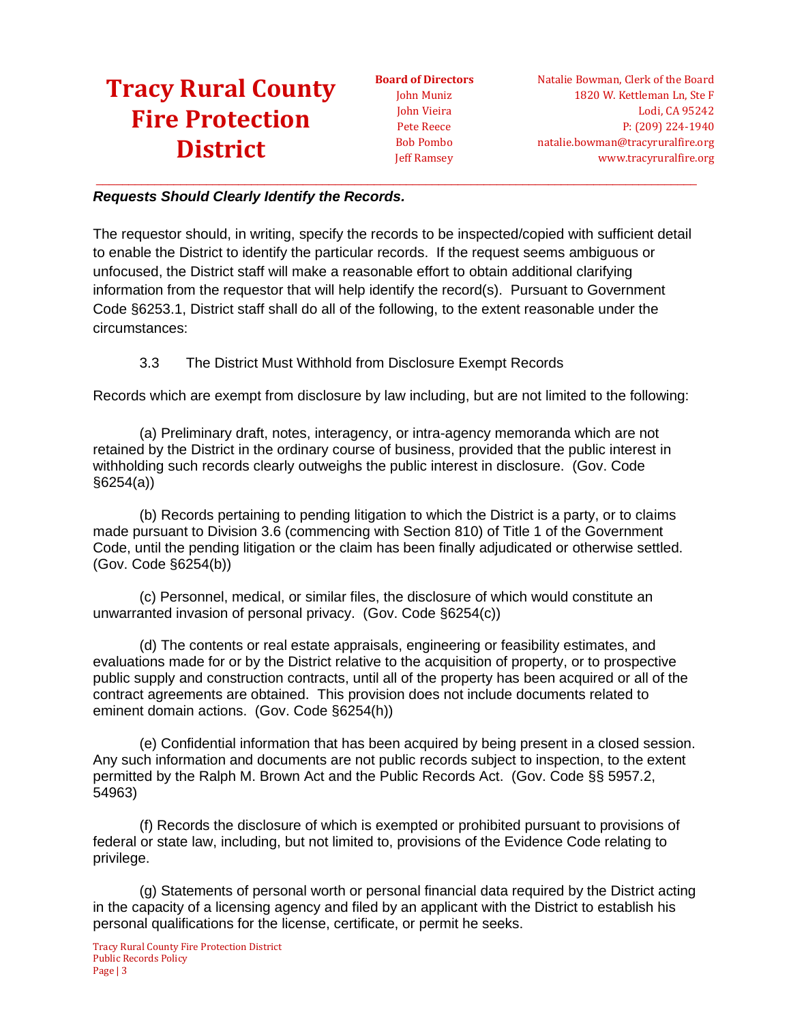**Board of Directors** John Muniz John Vieira Pete Reece Bob Pombo Jeff Ramsey

#### *Requests Should Clearly Identify the Records.*

The requestor should, in writing, specify the records to be inspected/copied with sufficient detail to enable the District to identify the particular records. If the request seems ambiguous or unfocused, the District staff will make a reasonable effort to obtain additional clarifying information from the requestor that will help identify the record(s). Pursuant to Government Code §6253.1, District staff shall do all of the following, to the extent reasonable under the circumstances:

 $\_$  ,  $\_$  ,  $\_$  ,  $\_$  ,  $\_$  ,  $\_$  ,  $\_$  ,  $\_$  ,  $\_$  ,  $\_$  ,  $\_$  ,  $\_$  ,  $\_$  ,  $\_$  ,  $\_$  ,  $\_$  ,  $\_$  ,  $\_$  ,  $\_$  ,  $\_$  ,  $\_$  ,  $\_$  ,  $\_$  ,  $\_$  ,  $\_$  ,  $\_$  ,  $\_$  ,  $\_$  ,  $\_$  ,  $\_$  ,  $\_$  ,  $\_$  ,  $\_$  ,  $\_$  ,  $\_$  ,  $\_$  ,  $\_$  ,

#### 3.3 The District Must Withhold from Disclosure Exempt Records

Records which are exempt from disclosure by law including, but are not limited to the following:

(a) Preliminary draft, notes, interagency, or intra-agency memoranda which are not retained by the District in the ordinary course of business, provided that the public interest in withholding such records clearly outweighs the public interest in disclosure. (Gov. Code §6254(a))

(b) Records pertaining to pending litigation to which the District is a party, or to claims made pursuant to Division 3.6 (commencing with Section 810) of Title 1 of the Government Code, until the pending litigation or the claim has been finally adjudicated or otherwise settled. (Gov. Code §6254(b))

(c) Personnel, medical, or similar files, the disclosure of which would constitute an unwarranted invasion of personal privacy. (Gov. Code §6254(c))

(d) The contents or real estate appraisals, engineering or feasibility estimates, and evaluations made for or by the District relative to the acquisition of property, or to prospective public supply and construction contracts, until all of the property has been acquired or all of the contract agreements are obtained. This provision does not include documents related to eminent domain actions. (Gov. Code §6254(h))

(e) Confidential information that has been acquired by being present in a closed session. Any such information and documents are not public records subject to inspection, to the extent permitted by the Ralph M. Brown Act and the Public Records Act. (Gov. Code §§ 5957.2, 54963)

(f) Records the disclosure of which is exempted or prohibited pursuant to provisions of federal or state law, including, but not limited to, provisions of the Evidence Code relating to privilege.

(g) Statements of personal worth or personal financial data required by the District acting in the capacity of a licensing agency and filed by an applicant with the District to establish his personal qualifications for the license, certificate, or permit he seeks.